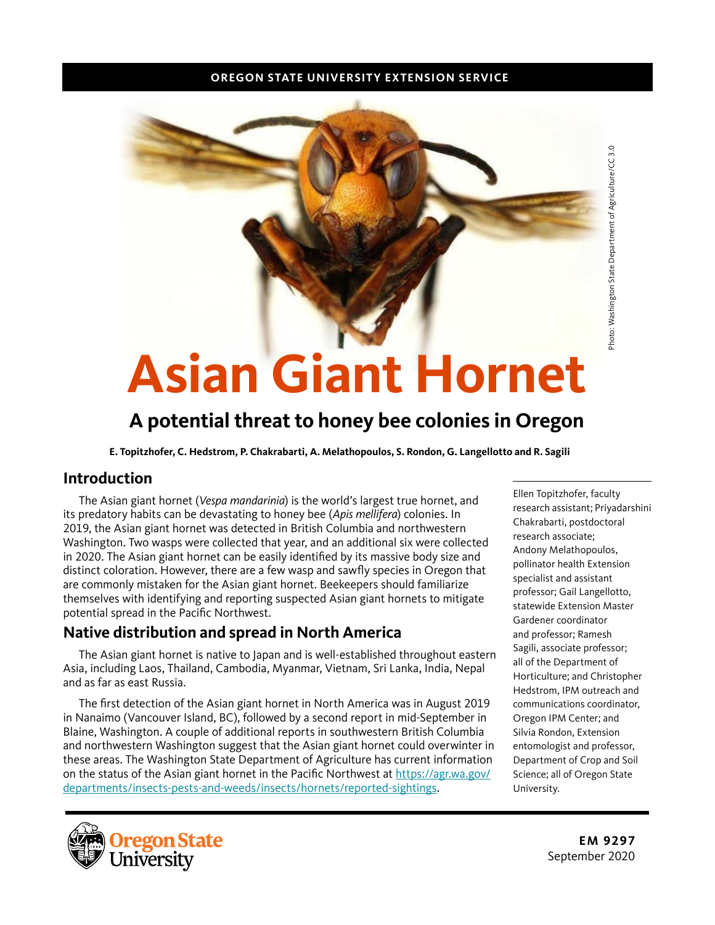#### **OREGON STATE UNIVERSITY EXTENSION SERVICE**

# **Asian Giant Hornet**

# **A potential threat to honey bee colonies in Oregon**

**E. Topitzhofer, C. Hedstrom, P. Chakrabarti, A. Melathopoulos, S. Rondon, G. Langellotto and R. Sagili**

#### **Introduction**

The Asian giant hornet (*Vespa mandarinia*) is the world's largest true hornet, and its predatory habits can be devastating to honey bee (*Apis mellifera*) colonies. In 2019, the Asian giant hornet was detected in British Columbia and northwestern Washington. Two wasps were collected that year, and an additional six were collected in 2020. The Asian giant hornet can be easily identified by its massive body size and distinct coloration. However, there are a few wasp and sawfly species in Oregon that are commonly mistaken for the Asian giant hornet. Beekeepers should familiarize themselves with identifying and reporting suspected Asian giant hornets to mitigate potential spread in the Pacific Northwest.

#### **Native distribution and spread in North America**

The Asian giant hornet is native to Japan and is well-established throughout eastern Asia, including Laos, Thailand, Cambodia, Myanmar, Vietnam, Sri Lanka, India, Nepal and as far as east Russia.

The first detection of the Asian giant hornet in North America was in August 2019 in Nanaimo (Vancouver Island, BC), followed by a second report in mid-September in Blaine, Washington. A couple of additional reports in southwestern British Columbia and northwestern Washington suggest that the Asian giant hornet could overwinter in these areas. The Washington State Department of Agriculture has current information on the status of the Asian giant hornet in the Pacific Northwest at [https://agr.wa.gov/](https://agr.wa.gov/departments/insects-pests-and-weeds/insects/hornets/reported-sightings) [departments/insects-pests-and-weeds/insects/hornets/reported-sightings](https://agr.wa.gov/departments/insects-pests-and-weeds/insects/hornets/reported-sightings).



Photo: Washington State Department of Agriculture/CC 3.0



**EM 9297** September 2020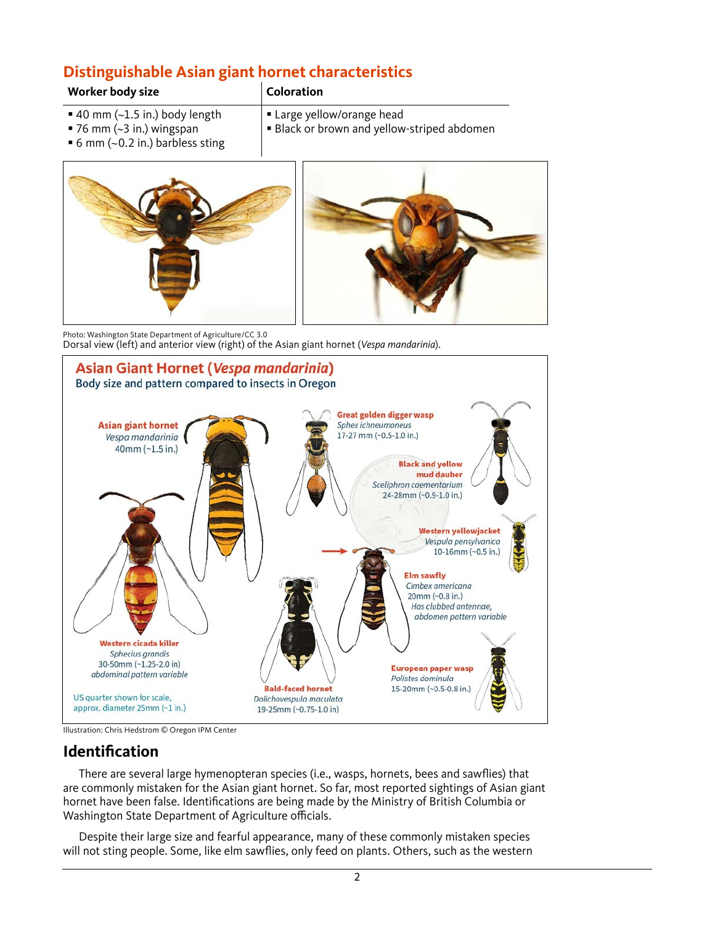# **Distinguishable Asian giant hornet characteristics**

| Worker body size                       | <b>Coloration</b>                         |
|----------------------------------------|-------------------------------------------|
| ■ 40 mm $(-1.5$ in.) body length       | $\vert$ • Large yellow/orange head        |
| $\blacksquare$ 76 mm (~3 in.) wingspan | Black or brown and yellow-striped abdomen |

■ 6 mm (~0.2 in.) barbless sting



Photo: Washington State Department of Agriculture/CC 3.0

Dorsal view (left) and anterior view (right) of the Asian giant hornet (*Vespa mandarinia*).



Illustration: Chris Hedstrom © Oregon IPM Center

# **Identification**

There are several large hymenopteran species (i.e., wasps, hornets, bees and sawflies) that are commonly mistaken for the Asian giant hornet. So far, most reported sightings of Asian giant hornet have been false. Identifications are being made by the Ministry of British Columbia or Washington State Department of Agriculture officials.

Despite their large size and fearful appearance, many of these commonly mistaken species will not sting people. Some, like elm sawflies, only feed on plants. Others, such as the western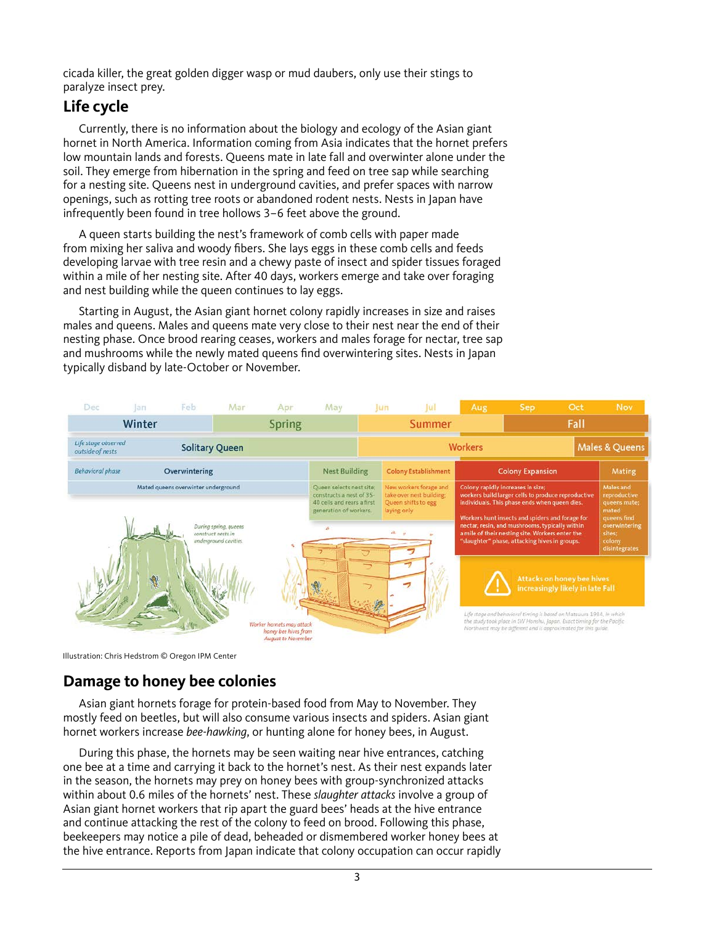cicada killer, the great golden digger wasp or mud daubers, only use their stings to paralyze insect prey.

### **Life cycle**

Currently, there is no information about the biology and ecology of the Asian giant hornet in North America. Information coming from Asia indicates that the hornet prefers low mountain lands and forests. Queens mate in late fall and overwinter alone under the soil. They emerge from hibernation in the spring and feed on tree sap while searching for a nesting site. Queens nest in underground cavities, and prefer spaces with narrow openings, such as rotting tree roots or abandoned rodent nests. Nests in Japan have infrequently been found in tree hollows 3–6 feet above the ground.

A queen starts building the nest's framework of comb cells with paper made from mixing her saliva and woody fibers. She lays eggs in these comb cells and feeds developing larvae with tree resin and a chewy paste of insect and spider tissues foraged within a mile of her nesting site. After 40 days, workers emerge and take over foraging and nest building while the queen continues to lay eggs.

Starting in August, the Asian giant hornet colony rapidly increases in size and raises males and queens. Males and queens mate very close to their nest near the end of their nesting phase. Once brood rearing ceases, workers and males forage for nectar, tree sap and mushrooms while the newly mated queens find overwintering sites. Nests in Japan typically disband by late-October or November.



Illustration: Chris Hedstrom © Oregon IPM Center

### **Damage to honey bee colonies**

Asian giant hornets forage for protein-based food from May to November. They mostly feed on beetles, but will also consume various insects and spiders. Asian giant hornet workers increase *bee-hawking*, or hunting alone for honey bees, in August.

During this phase, the hornets may be seen waiting near hive entrances, catching one bee at a time and carrying it back to the hornet's nest. As their nest expands later in the season, the hornets may prey on honey bees with group-synchronized attacks within about 0.6 miles of the hornets' nest. These *slaughter attacks* involve a group of Asian giant hornet workers that rip apart the guard bees' heads at the hive entrance and continue attacking the rest of the colony to feed on brood. Following this phase, beekeepers may notice a pile of dead, beheaded or dismembered worker honey bees at the hive entrance. Reports from Japan indicate that colony occupation can occur rapidly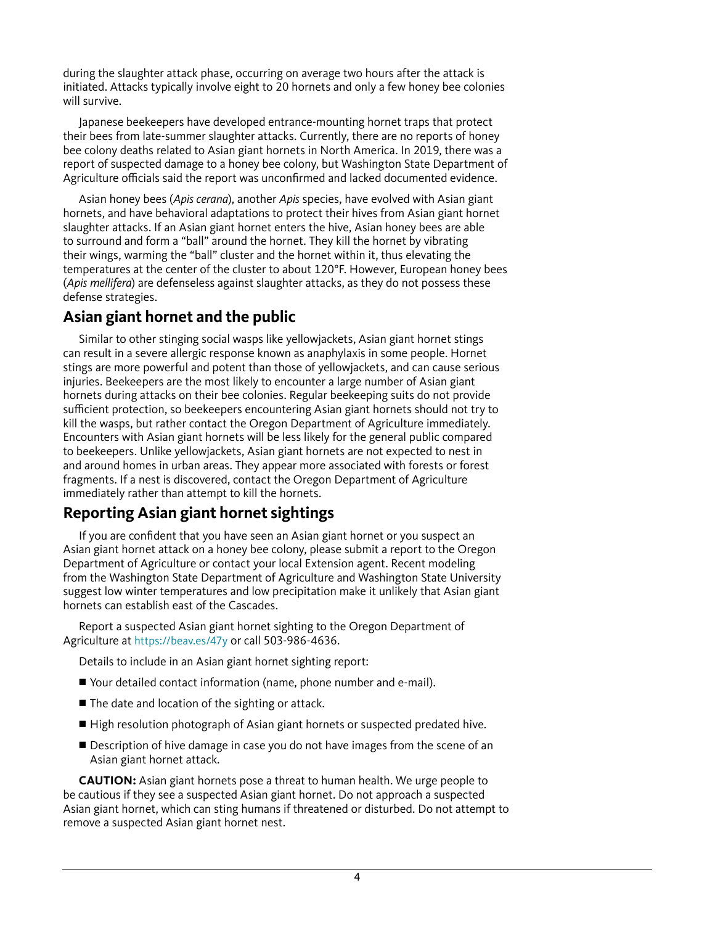during the slaughter attack phase, occurring on average two hours after the attack is initiated. Attacks typically involve eight to 20 hornets and only a few honey bee colonies will survive.

Japanese beekeepers have developed entrance-mounting hornet traps that protect their bees from late-summer slaughter attacks. Currently, there are no reports of honey bee colony deaths related to Asian giant hornets in North America. In 2019, there was a report of suspected damage to a honey bee colony, but Washington State Department of Agriculture officials said the report was unconfirmed and lacked documented evidence.

Asian honey bees (*Apis cerana*), another *Apis* species, have evolved with Asian giant hornets, and have behavioral adaptations to protect their hives from Asian giant hornet slaughter attacks. If an Asian giant hornet enters the hive, Asian honey bees are able to surround and form a "ball" around the hornet. They kill the hornet by vibrating their wings, warming the "ball" cluster and the hornet within it, thus elevating the temperatures at the center of the cluster to about 120°F. However, European honey bees (*Apis mellifera*) are defenseless against slaughter attacks, as they do not possess these defense strategies.

### **Asian giant hornet and the public**

Similar to other stinging social wasps like yellowjackets, Asian giant hornet stings can result in a severe allergic response known as anaphylaxis in some people. Hornet stings are more powerful and potent than those of yellowjackets, and can cause serious injuries. Beekeepers are the most likely to encounter a large number of Asian giant hornets during attacks on their bee colonies. Regular beekeeping suits do not provide sufficient protection, so beekeepers encountering Asian giant hornets should not try to kill the wasps, but rather contact the Oregon Department of Agriculture immediately. Encounters with Asian giant hornets will be less likely for the general public compared to beekeepers. Unlike yellowjackets, Asian giant hornets are not expected to nest in and around homes in urban areas. They appear more associated with forests or forest fragments. If a nest is discovered, contact the Oregon Department of Agriculture immediately rather than attempt to kill the hornets.

### **Reporting Asian giant hornet sightings**

If you are confident that you have seen an Asian giant hornet or you suspect an Asian giant hornet attack on a honey bee colony, please submit a report to the Oregon Department of Agriculture or contact your local Extension agent. Recent modeling from the Washington State Department of Agriculture and Washington State University suggest low winter temperatures and low precipitation make it unlikely that Asian giant hornets can establish east of the Cascades.

Report a suspected Asian giant hornet sighting to the Oregon Department of Agriculture at<https://beav.es/47y> or call 503-986-4636.

Details to include in an Asian giant hornet sighting report:

- Your detailed contact information (name, phone number and e-mail).
- The date and location of the sighting or attack.
- High resolution photograph of Asian giant hornets or suspected predated hive.
- Description of hive damage in case you do not have images from the scene of an Asian giant hornet attack.

**CAUTION:** Asian giant hornets pose a threat to human health. We urge people to be cautious if they see a suspected Asian giant hornet. Do not approach a suspected Asian giant hornet, which can sting humans if threatened or disturbed. Do not attempt to remove a suspected Asian giant hornet nest.